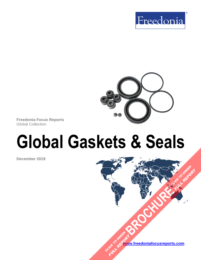



**Freedonia Focus Reports** Global Collection

# **Global Gaskets & Seals**

**December 2019**

**[www.freedoniafocusreports.com](https://www.freedoniafocusreports.com/redirect.asp?progid=89534&url=/)** CLICK TO ORDER **FULL REPORT** 

**[BROCHURE](https://www.freedoniafocusreports.com/Global-Gaskets-Seals-FW50012/?progid=89541) CLICK TO ORDER** 

**FULL REPORT**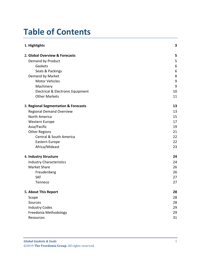# **Table of Contents**

| 1. Highlights                        | 3  |
|--------------------------------------|----|
| 2. Global Overview & Forecasts       | 5  |
| Demand by Product                    | 5  |
| Gaskets                              | 6  |
| Seals & Packings                     | 6  |
| Demand by Market                     | 8  |
| <b>Motor Vehicles</b>                | 9  |
| Machinery                            | 9  |
| Electrical & Electronic Equipment    | 10 |
| <b>Other Markets</b>                 | 11 |
| 3. Regional Segmentation & Forecasts | 13 |
| <b>Regional Demand Overview</b>      | 13 |
| North America                        | 15 |
| Western Europe                       | 17 |
| Asia/Pacific                         | 19 |
| <b>Other Regions</b>                 | 21 |
| <b>Central &amp; South America</b>   | 22 |
| Eastern Europe                       | 22 |
| Africa/Mideast                       | 23 |
| 4. Industry Structure                | 24 |
| <b>Industry Characteristics</b>      | 24 |
| <b>Market Share</b>                  | 26 |
| Freudenberg                          | 26 |
| <b>SKF</b>                           | 27 |
| Tenneco                              | 27 |
| 5. About This Report                 | 28 |
| Scope                                | 28 |
| Sources                              | 28 |
| <b>Industry Codes</b>                | 29 |
| Freedonia Methodology                | 29 |
| Resources                            | 31 |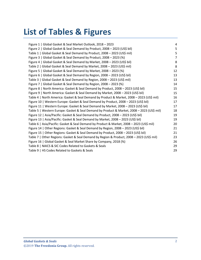# **List of Tables & Figures**

| Figure 1   Global Gasket & Seal Market Outlook, 2018 - 2023                                | 4  |
|--------------------------------------------------------------------------------------------|----|
| Figure 2   Global Gasket & Seal Demand by Product, 2008 - 2023 (US\$ bil)                  | 5  |
| Table 1   Global Gasket & Seal Demand by Product, 2008 - 2023 (US\$ mil)                   | 5  |
| Figure 3   Global Gasket & Seal Demand by Product, 2008 - 2023 (%)                         | 7  |
| Figure 4   Global Gasket & Seal Demand by Market, 2008 - 2023 (US\$ bil)                   | 8  |
| Table 2   Global Gasket & Seal Demand by Market, 2008 - 2023 (US\$ mil)                    | 8  |
| Figure 5   Global Gasket & Seal Demand by Market, 2008 - 2023 (%)                          | 12 |
| Figure 6   Global Gasket & Seal Demand by Region, 2008 - 2023 (US\$ bil)                   | 13 |
| Table 3   Global Gasket & Seal Demand by Region, 2008 - 2023 (US\$ mil)                    | 13 |
| Figure 7   Global Gasket & Seal Demand by Region, 2008 - 2023 (%)                          | 14 |
| Figure 8   North America: Gasket & Seal Demand by Product, 2008 - 2023 (US\$ bil)          | 15 |
| Figure 9   North America: Gasket & Seal Demand by Market, 2008 - 2023 (US\$ bil)           | 15 |
| Table 4   North America: Gasket & Seal Demand by Product & Market, 2008 - 2023 (US\$ mil)  | 16 |
| Figure 10   Western Europe: Gasket & Seal Demand by Product, 2008 - 2023 (US\$ bil)        | 17 |
| Figure 11   Western Europe: Gasket & Seal Demand by Market, 2008 - 2023 (US\$ bil)         | 17 |
| Table 5   Western Europe: Gasket & Seal Demand by Product & Market, 2008 - 2023 (US\$ mil) | 18 |
| Figure 12   Asia/Pacific: Gasket & Seal Demand by Product, 2008 - 2023 (US\$ bil)          | 19 |
| Figure 13   Asia/Pacific: Gasket & Seal Demand by Market, 2008 - 2023 (US\$ bil)           | 19 |
| Table 6   Asia/Pacific: Gasket & Seal Demand by Product & Market, 2008 - 2023 (US\$ mil)   | 20 |
| Figure 14   Other Regions: Gasket & Seal Demand by Region, 2008 - 2023 (US\$ bil)          | 21 |
| Figure 15   Other Regions: Gasket & Seal Demand by Product, 2008 - 2023 (US\$ bil)         | 21 |
| Table 7   Other Regions: Gasket & Seal Demand by Region & Product, 2008 - 2023 (US\$ mil)  | 23 |
| Figure 16   Global Gasket & Seal Market Share by Company, 2018 (%)                         | 26 |
| Table 8   NAICS & SIC Codes Related to Gaskets & Seals                                     | 29 |
| Table 9   HS Codes Related to Gaskets & Seals                                              | 29 |
|                                                                                            |    |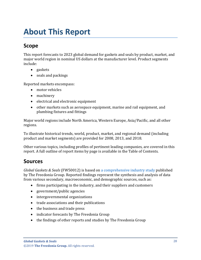# <span id="page-3-0"></span>**About This Report**

# <span id="page-3-1"></span>**Scope**

This report forecasts to 2023 global demand for gaskets and seals by product, market, and major world region in nominal US dollars at the manufacturer level. Product segments include:

- gaskets
- seals and packings

Reported markets encompass:

- motor vehicles
- machinery
- electrical and electronic equipment
- other markets such as aerospace equipment, marine and rail equipment, and plumbing fixtures and fittings

Major world regions include North America, Western Europe, Asia/Pacific, and all other regions.

To illustrate historical trends, world, product, market, and regional demand (including product and market segments) are provided for 2008, 2013, and 2018.

Other various topics, including profiles of pertinent leading companies, are covered in this report. A full outline of report items by page is available in the Table of Contents.

# <span id="page-3-2"></span>**Sources**

*Global Gaskets & Seals* (FW50012) is based on [a comprehensive industry study](http://www.freedoniagroup.com/DocumentDetails.aspx?ReferrerId=FL-FOCUS&studyid=3807) published by The Freedonia Group. Reported findings represent the synthesis and analysis of data from various secondary, macroeconomic, and demographic sources, such as:

- firms participating in the industry, and their suppliers and customers
- government/public agencies
- intergovernmental organizations
- trade associations and their publications
- the business and trade press
- indicator forecasts by The Freedonia Group
- the findings of other reports and studies by The Freedonia Group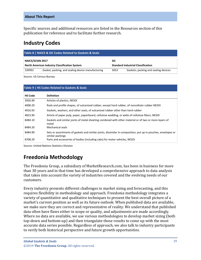#### **About This Report**

Specific sources and additional resources are listed in the Resources section of this publication for reference and to facilitate further research.

## <span id="page-4-0"></span>**Industry Codes**

<span id="page-4-2"></span>

| Table 8   NAICS & SIC Codes Related to Gaskets & Seals |                                                   |                                           |                                      |  |
|--------------------------------------------------------|---------------------------------------------------|-------------------------------------------|--------------------------------------|--|
| <b>NAICS/SCIAN 2017</b>                                |                                                   | <b>SIC</b>                                |                                      |  |
| <b>North American Industry Classification System</b>   |                                                   | <b>Standard Industrial Classification</b> |                                      |  |
| 339991                                                 | Gasket, packing, and sealing device manufacturing | 3053                                      | Gaskets; packing and sealing devices |  |

Source: US Census Bureau

<span id="page-4-3"></span>

| Table 9   HS Codes Related to Gaskets & Seals |                                                                                                                                   |  |  |  |
|-----------------------------------------------|-----------------------------------------------------------------------------------------------------------------------------------|--|--|--|
| <b>HS Code</b>                                | <b>Definition</b>                                                                                                                 |  |  |  |
| 3926.90                                       | Articles of plastics, NESOI                                                                                                       |  |  |  |
| 4008.29                                       | Rods and profile shapes, of vulcanized rubber, except hard rubber, of noncellular rubber NESOI                                    |  |  |  |
| 4016.93                                       | Gaskets, washers, and other seals, of vulcanized rubber other than hard rubber                                                    |  |  |  |
| 4823.90                                       | Article of paper pulp, paper, paperboard, cellulose wadding, or webs of cellulose fibers, NESOI                                   |  |  |  |
| 8484.10                                       | Gaskets and similar joints of metal sheeting combined with other material or of two or more layers of<br>metal                    |  |  |  |
| 8484.20                                       | Mechanical seals                                                                                                                  |  |  |  |
| 8484.90                                       | Sets or assortments of gaskets and similar joints, dissimilar in composition, put up in pouches, envelopes or<br>similar packings |  |  |  |
| 8708.29                                       | Parts and accessories of bodies (including cabs) for motor vehicles, NESOI                                                        |  |  |  |

Source: United Nations Statistics Division

# <span id="page-4-1"></span>**Freedonia Methodology**

The Freedonia Group, a subsidiary of MarketResearch.com, has been in business for more than 30 years and in that time has developed a comprehensive approach to data analysis that takes into account the variety of industries covered and the evolving needs of our customers.

Every industry presents different challenges in market sizing and forecasting, and this requires flexibility in methodology and approach. Freedonia methodology integrates a variety of quantitative and qualitative techniques to present the best overall picture of a market's current position as well as its future outlook: When published data are available, we make sure they are correct and representative of reality. We understand that published data often have flaws either in scope or quality, and adjustments are made accordingly. Where no data are available, we use various methodologies to develop market sizing (both top-down and bottom-up) and then triangulate those results to come up with the most accurate data series possible. Regardless of approach, we also talk to industry participants to verify both historical perspective and future growth opportunities.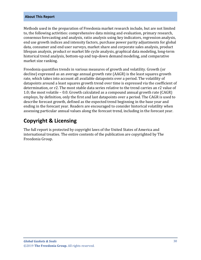#### **About This Report**

Methods used in the preparation of Freedonia market research include, but are not limited to, the following activities: comprehensive data mining and evaluation, primary research, consensus forecasting and analysis, ratio analysis using key indicators, regression analysis, end use growth indices and intensity factors, purchase power parity adjustments for global data, consumer and end user surveys, market share and corporate sales analysis, product lifespan analysis, product or market life cycle analysis, graphical data modeling, long-term historical trend analysis, bottom-up and top-down demand modeling, and comparative market size ranking.

Freedonia quantifies trends in various measures of growth and volatility. Growth (or decline) expressed as an average annual growth rate (AAGR) is the least squares growth rate, which takes into account all available datapoints over a period. The volatility of datapoints around a least squares growth trend over time is expressed via the coefficient of determination, or r2. The most stable data series relative to the trend carries an r2 value of 1.0; the most volatile – 0.0. Growth calculated as a compound annual growth rate (CAGR) employs, by definition, only the first and last datapoints over a period. The CAGR is used to describe forecast growth, defined as the expected trend beginning in the base year and ending in the forecast year. Readers are encouraged to consider historical volatility when assessing particular annual values along the forecast trend, including in the forecast year.

# **Copyright & Licensing**

The full report is protected by copyright laws of the United States of America and international treaties. The entire contents of the publication are copyrighted by The Freedonia Group.